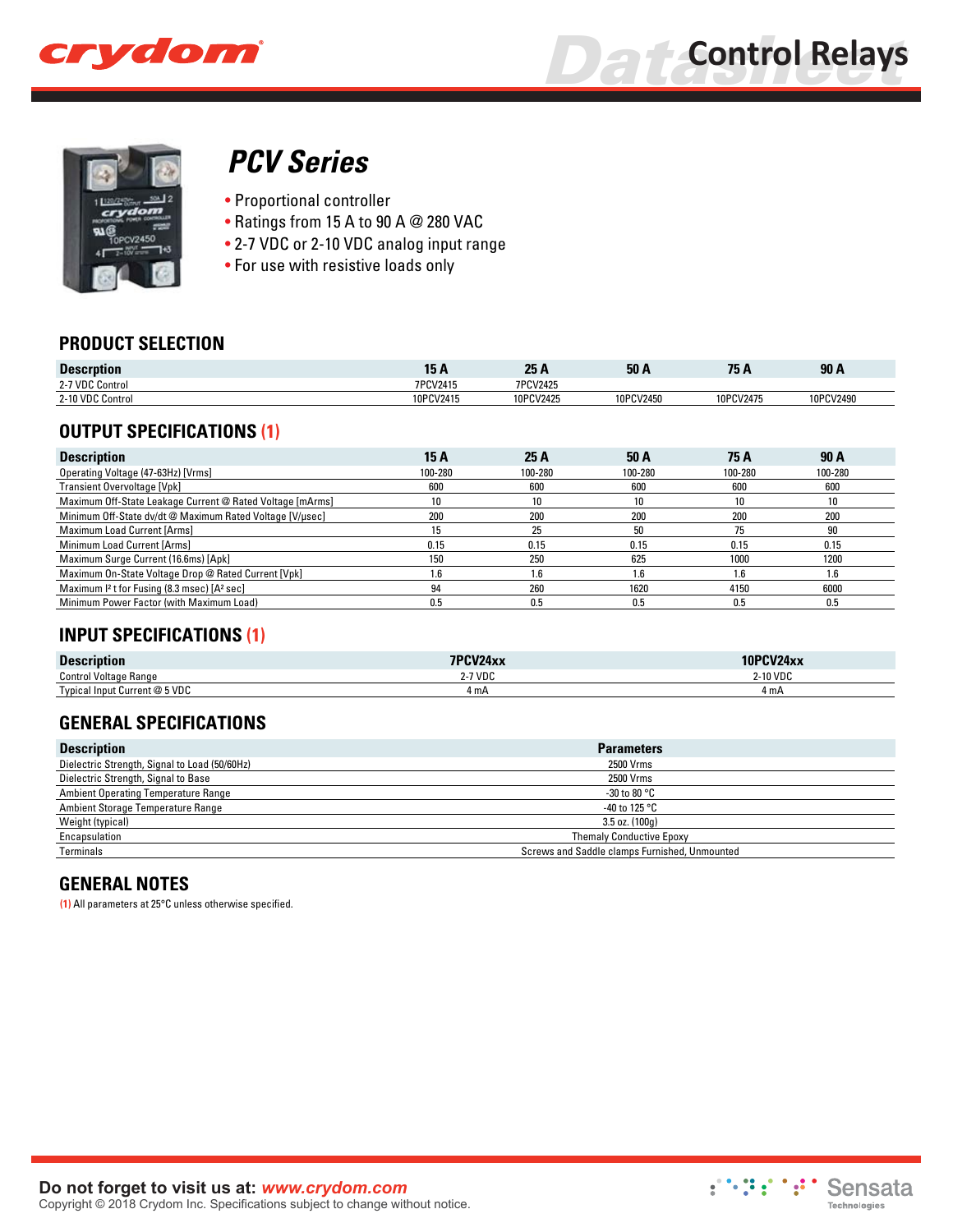



# *[PCV Series](http://www.crydom.com/en/products/control-relays/pcv-series/)*

- Proportional controller
- Ratings from 15 A to 90 A @ 280 VAC
- 2-7 VDC or 2-10 VDC analog input range
- For use with resistive loads only

### **PRODUCT SELECTION**

| <b>Descrption</b> |           | クド<br>LJ M | 50 <sub>k</sub> | 75        | 90A       |
|-------------------|-----------|------------|-----------------|-----------|-----------|
| 2-7 VDC Control   | 7PCV2415  | 7PCV2425   |                 |           |           |
| 2-10 VDC Control  | 10PCV2415 | 10PCV2425  | 10PCV2450       | 10PCV2475 | 10PCV2490 |

## **OUTPUT SPECIFICATIONS (1)**

| <b>Description</b>                                                  | 15 A    | 25 A    | 50 A            | 75 A    | 90 A    |
|---------------------------------------------------------------------|---------|---------|-----------------|---------|---------|
| Operating Voltage (47-63Hz) [Vrms]                                  | 100-280 | 100-280 | 100-280         | 100-280 | 100-280 |
| <b>Transient Overvoltage [Vpk]</b>                                  | 600     | 600     | 600             | 600     | 600     |
| Maximum Off-State Leakage Current @ Rated Voltage [mArms]           | 10      | 10      | 10              | 10      | 10      |
| Minimum Off-State dv/dt @ Maximum Rated Voltage [V/µsec]            | 200     | 200     | 200             | 200     | 200     |
| Maximum Load Current [Arms]                                         | 15      | 25      | 50              | 75      | 90      |
| Minimum Load Current [Arms]                                         | 0.15    | 0.15    | 0.15            | 0.15    | 0.15    |
| Maximum Surge Current (16.6ms) [Apk]                                | 150     | 250     | 625             | 1000    | 1200    |
| Maximum On-State Voltage Drop @ Rated Current [Vpk]                 | l.6     | 1.6     | $.6\phantom{0}$ | 1.6     | 1.6     |
| Maximum I <sup>2</sup> t for Fusing (8.3 msec) [A <sup>2</sup> sec] | 94      | 260     | 1620            | 4150    | 6000    |
| Minimum Power Factor (with Maximum Load)                            | 0.5     | 0.5     | 0.5             | 0.5     | 0.5     |

## **INPUT SPECIFICATIONS (1)**

| <b>Description</b>            | $7D$ $N$ $12A$ $v$<br><b>TAA</b> |         |
|-------------------------------|----------------------------------|---------|
| <b>Control Voltage Range</b>  | 2-7 VDC                          | -10 VDC |
| Typical Input Current @ 5 VDC | 4 mA                             | 4 m A   |

## **GENERAL SPECIFICATIONS**

| <b>Description</b>                            | <b>Parameters</b>                             |
|-----------------------------------------------|-----------------------------------------------|
| Dielectric Strength, Signal to Load (50/60Hz) | 2500 Vrms                                     |
| Dielectric Strength, Signal to Base           | 2500 Vrms                                     |
| <b>Ambient Operating Temperature Range</b>    | -30 to 80 $^{\circ}$ C                        |
| Ambient Storage Temperature Range             | -40 to 125 $^{\circ}$ C                       |
| Weight (typical)                              | $3.5$ oz. $(100q)$                            |
| Encapsulation                                 | <b>Themaly Conductive Epoxy</b>               |
| Terminals                                     | Screws and Saddle clamps Furnished, Unmounted |

## **GENERAL NOTES**

**(1)** All parameters at 25°C unless otherwise specified.

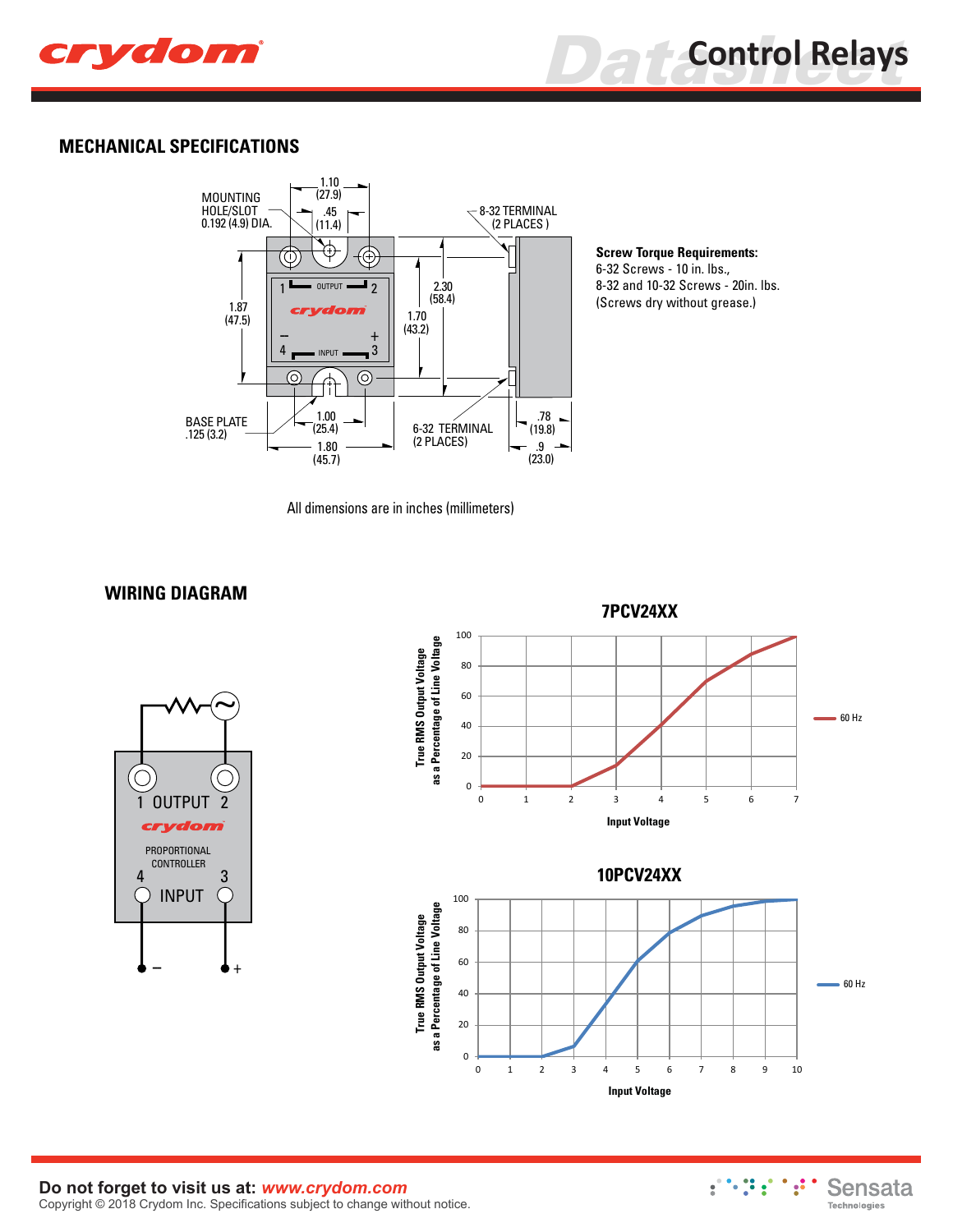



#### **MECHANICAL SPECIFICATIONS**



**Screw Torque Requirements:** 6-32 Screws - 10 in. lbs., 8-32 and 10-32 Screws - 20in. lbs. (Screws dry without grease.)

All dimensions are in inches (millimeters)



**WIRING DIAGRAM**



#### **Do not forget to visit us at:** *[www.crydom.com](http://www.crydom.com/)* Copyright © 2018 Crydom Inc. Specifications subject to change without notice.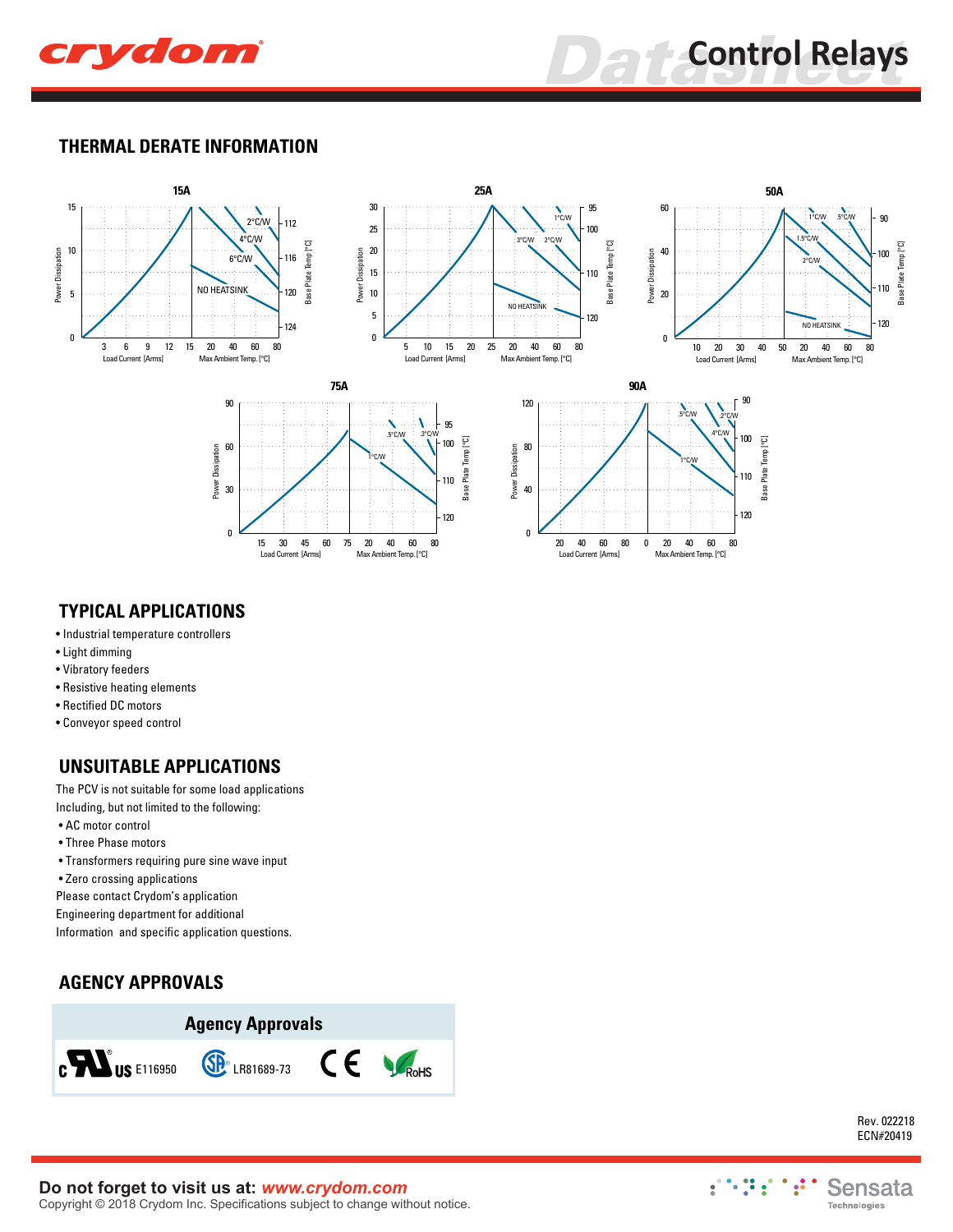

**Data** Control Relays

#### **THERMAL DERATE INFORMATION**



### **TYPICAL APPLICATIONS**

- Industrial temperature controllers
- Light dimming
- Vibratory feeders
- Resistive heating elements
- Rectified DC motors
- Conveyor speed control

## **UNSUITABLE APPLICATIONS**

The PCV is not suitable for some load applications Including, but not limited to the following:

- AC motor control
- Three Phase motors
- Transformers requiring pure sine wave input
- Zero crossing applications

Please contact Crydom's application

Engineering department for additional

Information and specific application questions.

## **AGENCY APPROVALS**



Rev. 022218 ECN#20419

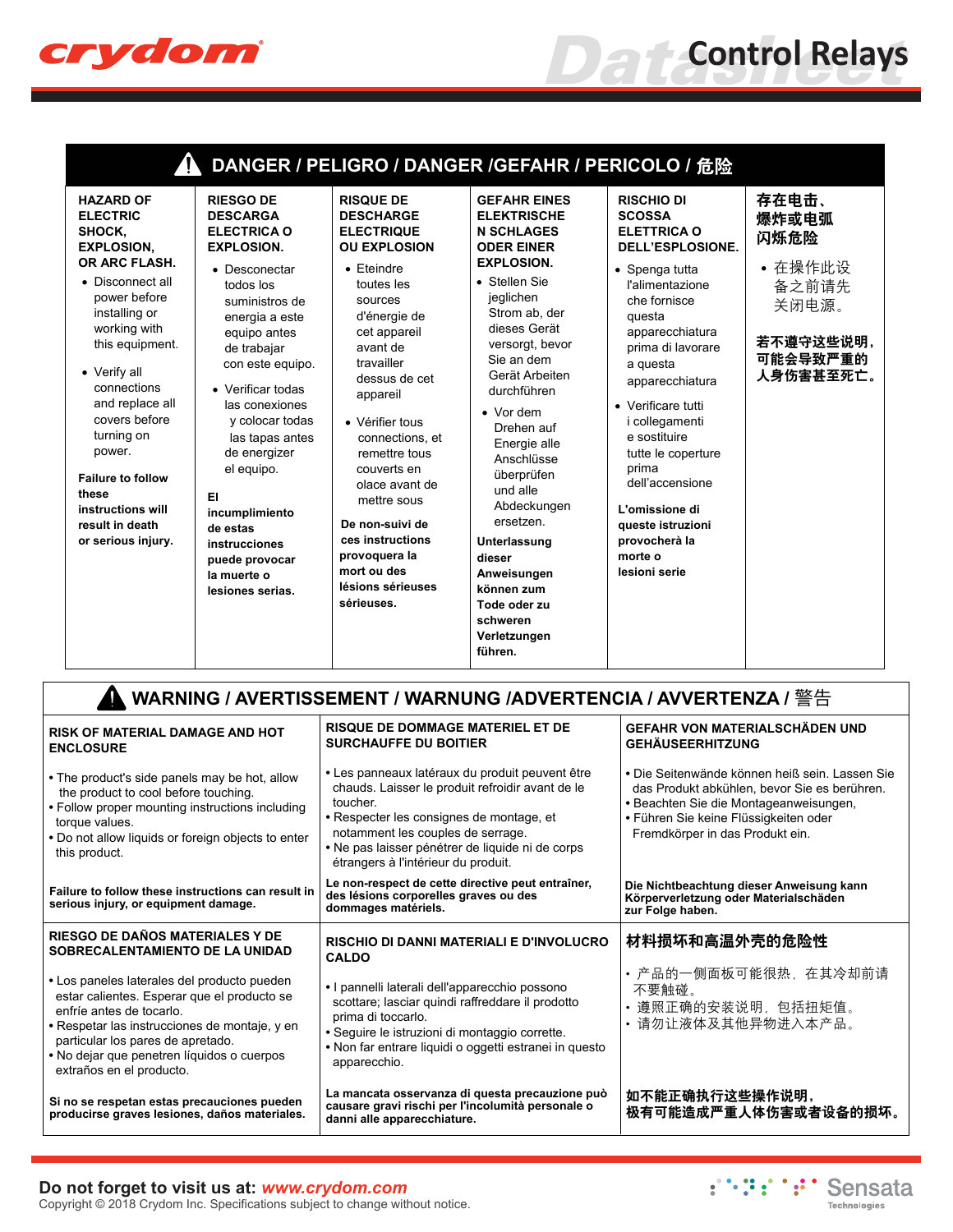

| <b>HAZARD OF</b><br><b>ELECTRIC</b><br>SHOCK,<br><b>EXPLOSION,</b><br>OR ARC FLASH.<br>• Disconnect all                                                                                                                                                        | <b>RIESGO DE</b><br><b>DESCARGA</b><br><b>ELECTRICA O</b><br><b>EXPLOSION.</b><br>• Desconectar<br>todos los                                                                                                                                                                                              | <b>RISQUE DE</b><br><b>DESCHARGE</b><br><b>ELECTRIQUE</b><br><b>OU EXPLOSION</b><br>$\bullet$ Eteindre<br>toutes les                                                                                                                                                                                            | DANGER / PELIGRO / DANGER /GEFAHR / PERICOLO / 危险<br><b>GEFAHR EINES</b><br><b>ELEKTRISCHE</b><br><b>N SCHLAGES</b><br><b>ODER EINER</b><br><b>EXPLOSION.</b><br>• Stellen Sie                                                                                                                                                                    | <b>RISCHIO DI</b><br><b>SCOSSA</b><br><b>ELETTRICA O</b><br>DELL'ESPLOSIONE.<br>• Spenga tutta<br>l'alimentazione                                                                                                                                                                           | 存在电击、<br>爆炸或电弧<br>闪烁危险<br>• 在操作此设<br>备之前请先  |
|----------------------------------------------------------------------------------------------------------------------------------------------------------------------------------------------------------------------------------------------------------------|-----------------------------------------------------------------------------------------------------------------------------------------------------------------------------------------------------------------------------------------------------------------------------------------------------------|-----------------------------------------------------------------------------------------------------------------------------------------------------------------------------------------------------------------------------------------------------------------------------------------------------------------|---------------------------------------------------------------------------------------------------------------------------------------------------------------------------------------------------------------------------------------------------------------------------------------------------------------------------------------------------|---------------------------------------------------------------------------------------------------------------------------------------------------------------------------------------------------------------------------------------------------------------------------------------------|---------------------------------------------|
| power before<br>installing or<br>working with<br>this equipment.<br>• Verify all<br>connections<br>and replace all<br>covers before<br>turning on<br>power.<br><b>Failure to follow</b><br>these<br>instructions will<br>result in death<br>or serious injury. | suministros de<br>energia a este<br>equipo antes<br>de trabajar<br>con este equipo.<br>• Verificar todas<br>las conexiones<br>y colocar todas<br>las tapas antes<br>de energizer<br>el equipo.<br>EI.<br>incumplimiento<br>de estas<br>instrucciones<br>puede provocar<br>la muerte o<br>lesiones serias. | sources<br>d'énergie de<br>cet appareil<br>avant de<br>travailler<br>dessus de cet<br>appareil<br>• Vérifier tous<br>connections, et<br>remettre tous<br>couverts en<br>olace avant de<br>mettre sous<br>De non-suivi de<br>ces instructions<br>provoquera la<br>mort ou des<br>lésions sérieuses<br>sérieuses. | jeglichen<br>Strom ab, der<br>dieses Gerät<br>versorgt, bevor<br>Sie an dem<br>Gerät Arbeiten<br>durchführen<br>$\bullet$ Vor dem<br>Drehen auf<br>Energie alle<br>Anschlüsse<br>überprüfen<br>und alle<br>Abdeckungen<br>ersetzen.<br>Unterlassung<br>dieser<br>Anweisungen<br>können zum<br>Tode oder zu<br>schweren<br>Verletzungen<br>führen. | che fornisce<br>questa<br>apparecchiatura<br>prima di lavorare<br>a questa<br>apparecchiatura<br>• Verificare tutti<br>i collegamenti<br>e sostituire<br>tutte le coperture<br>prima<br>dell'accensione<br>L'omissione di<br>queste istruzioni<br>provocherà la<br>morte o<br>lesioni serie | 关闭电源。<br>若不遵守这些说明,<br>可能会导致严重的<br>人身伤害甚至死亡。 |

| <b>RISK OF MATERIAL DAMAGE AND HOT</b><br><b>ENCLOSURE</b>                                                                                                                                                                                                                             | <b>RISQUE DE DOMMAGE MATERIEL ET DE</b><br><b>SURCHAUFFE DU BOITIER</b>                                                                                                                                                                                                                     | GEFAHR VON MATERIALSCHÄDEN UND<br><b>GEHÄUSEERHITZUNG</b>                                                                                                                                                            |  |  |  |  |  |
|----------------------------------------------------------------------------------------------------------------------------------------------------------------------------------------------------------------------------------------------------------------------------------------|---------------------------------------------------------------------------------------------------------------------------------------------------------------------------------------------------------------------------------------------------------------------------------------------|----------------------------------------------------------------------------------------------------------------------------------------------------------------------------------------------------------------------|--|--|--|--|--|
| • The product's side panels may be hot, allow<br>the product to cool before touching.<br>• Follow proper mounting instructions including<br>torque values.<br>. Do not allow liquids or foreign objects to enter<br>this product.                                                      | • Les panneaux latéraux du produit peuvent être<br>chauds. Laisser le produit refroidir avant de le<br>toucher.<br>• Respecter les consignes de montage, et<br>notamment les couples de serrage.<br>• Ne pas laisser pénétrer de liquide ni de corps<br>étrangers à l'intérieur du produit. | • Die Seitenwände können heiß sein. Lassen Sie<br>das Produkt abkühlen, bevor Sie es berühren.<br>· Beachten Sie die Montageanweisungen,<br>• Führen Sie keine Flüssigkeiten oder<br>Fremdkörper in das Produkt ein. |  |  |  |  |  |
| Failure to follow these instructions can result in<br>serious injury, or equipment damage.                                                                                                                                                                                             | Le non-respect de cette directive peut entraîner,<br>des lésions corporelles graves ou des<br>dommages matériels.                                                                                                                                                                           | Die Nichtbeachtung dieser Anweisung kann<br>Körperverletzung oder Materialschäden<br>zur Folge haben.                                                                                                                |  |  |  |  |  |
| RIESGO DE DAÑOS MATERIALES Y DE<br>SOBRECALENTAMIENTO DE LA UNIDAD                                                                                                                                                                                                                     | <b>RISCHIO DI DANNI MATERIALI E D'INVOLUCRO</b><br><b>CALDO</b>                                                                                                                                                                                                                             | 材料损坏和高温外壳的危险性                                                                                                                                                                                                        |  |  |  |  |  |
| • Los paneles laterales del producto pueden<br>estar calientes. Esperar que el producto se<br>enfríe antes de tocarlo.<br>• Respetar las instrucciones de montaje, y en<br>particular los pares de apretado.<br>• No dejar que penetren líquidos o cuerpos<br>extraños en el producto. | • I pannelli laterali dell'apparecchio possono<br>scottare; lasciar quindi raffreddare il prodotto<br>prima di toccarlo.<br>• Seguire le istruzioni di montaggio corrette.<br>• Non far entrare liquidi o oggetti estranei in questo<br>apparecchio.                                        | • 产品的一侧面板可能很热,在其冷却前请<br>不要触碰。<br>遵照正确的安装说明,包括扭矩值。<br>请勿让液体及其他异物进入本产品。                                                                                                                                                |  |  |  |  |  |
| Si no se respetan estas precauciones pueden<br>producirse graves lesiones, daños materiales.                                                                                                                                                                                           | La mancata osservanza di questa precauzione può<br>causare gravi rischi per l'incolumità personale o<br>danni alle apparecchiature.                                                                                                                                                         | 如不能正确执行这些操作说明,<br>极有可能造成严重人体伤害或者设备的损坏。                                                                                                                                                                               |  |  |  |  |  |

#### **Do not forget to visit us at:** *[www.crydom.com](http://www.crydom.com/)* Copyright © 2018 Crydom Inc. Specifications subject to change without notice.

:":":" Sensata Technologies

**Data**<br>**Data**<br>**Control Relays**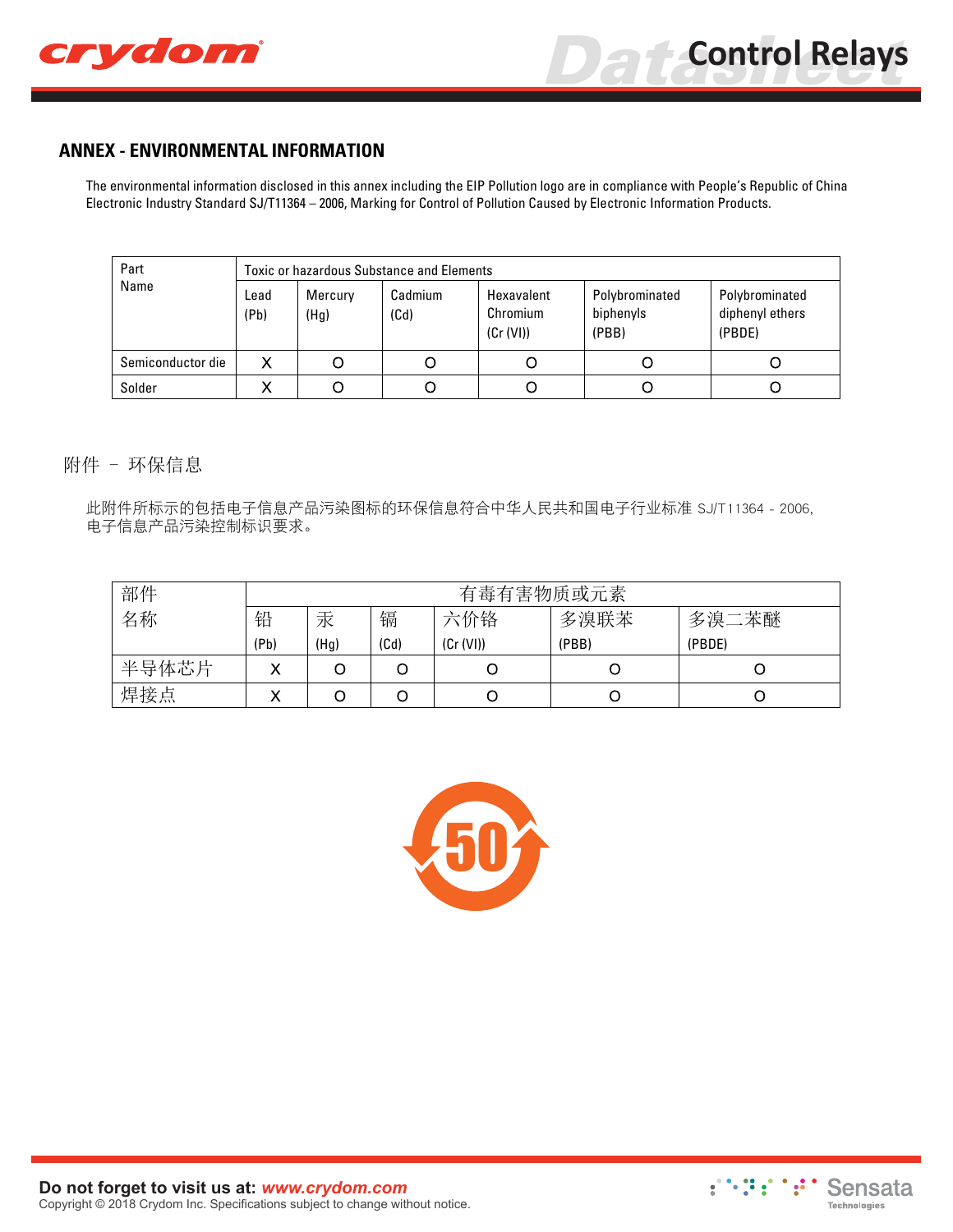

## **ANNEX - ENVIRONMENTAL INFORMATION**

The environmental information disclosed in this annex including the EIP Pollution logo are in compliance with People's Republic of China Electronic Industry Standard SJ/T11364 – 2006, Marking for Control of Pollution Caused by Electronic Information Products.

| Part              | <b>Toxic or hazardous Substance and Elements</b> |                 |                 |                                     |                                      |                                             |  |
|-------------------|--------------------------------------------------|-----------------|-----------------|-------------------------------------|--------------------------------------|---------------------------------------------|--|
| Name              | Lead<br>(Pb)                                     | Mercury<br>(Hg) | Cadmium<br>(Cd) | Hexavalent<br>Chromium<br>(Cr (VI)) | Polybrominated<br>biphenyls<br>(PBB) | Polybrominated<br>diphenyl ethers<br>(PBDE) |  |
| Semiconductor die |                                                  |                 |                 |                                     |                                      |                                             |  |
| Solder            |                                                  |                 |                 |                                     |                                      |                                             |  |

附件 - 环保信息

此附件所标示的包括电子信息产品污染图标的环保信息符合中华人民共和国电子行业标准 SJ/T11364 - 2006, 电子信息产品污染控制标识要求。

| 部件    | 有毒有害物质或元素 |      |      |           |       |        |
|-------|-----------|------|------|-----------|-------|--------|
| 名称    | 铅         | 汞    | 镉    | 六价铬       | 多溴联苯  | 多溴二苯醚  |
|       | (Pb)      | (Hg) | (Cd) | (Cr (VI)) | (PBB) | (PBDE) |
| 半导体芯片 |           |      |      |           |       |        |
| 焊接点   |           |      |      |           |       |        |